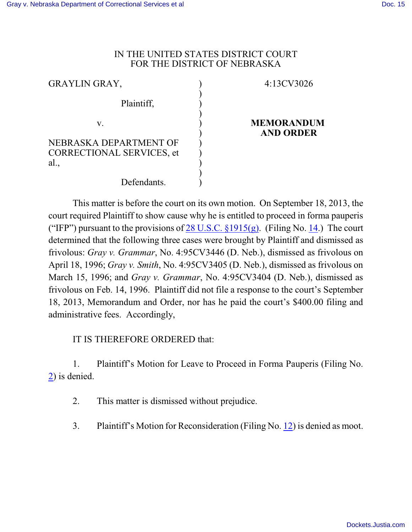## IN THE UNITED STATES DISTRICT COURT FOR THE DISTRICT OF NEBRASKA

| <b>GRAYLIN GRAY,</b>                   | 4:13CV3026                            |
|----------------------------------------|---------------------------------------|
| Plaintiff,                             |                                       |
| V.                                     | <b>MEMORANDUM</b><br><b>AND ORDER</b> |
| NEBRASKA DEPARTMENT OF                 |                                       |
| <b>CORRECTIONAL SERVICES, et</b><br>al |                                       |
|                                        |                                       |
| Defendants.                            |                                       |

This matter is before the court on its own motion. On September 18, 2013, the court required Plaintiff to show cause why he is entitled to proceed in forma pauperis ("IFP") pursuant to the provisions of 28 U.S.C.  $\S 1915(g)$ . (Filing No. [14](http://ecf.ned.uscourts.gov/doc1/11302869321).) The court determined that the following three cases were brought by Plaintiff and dismissed as frivolous: *Gray v. Grammar*, No. 4:95CV3446 (D. Neb.), dismissed as frivolous on April 18, 1996; *Gray v. Smith*, No. 4:95CV3405 (D. Neb.), dismissed as frivolous on March 15, 1996; and *Gray v. Grammar*, No. 4:95CV3404 (D. Neb.), dismissed as frivolous on Feb. 14, 1996. Plaintiff did not file a response to the court's September 18, 2013, Memorandum and Order, nor has he paid the court's \$400.00 filing and administrative fees. Accordingly,

## IT IS THEREFORE ORDERED that:

1. Plaintiff's Motion for Leave to Proceed in Forma Pauperis (Filing No. [2](https://ecf.ned.uscourts.gov/doc1/11312712643)) is denied.

- 2. This matter is dismissed without prejudice.
- 3. Plaintiff's Motion for Reconsideration (Filing No. [12](https://ecf.ned.uscourts.gov/doc1/11312820106)) is denied as moot.